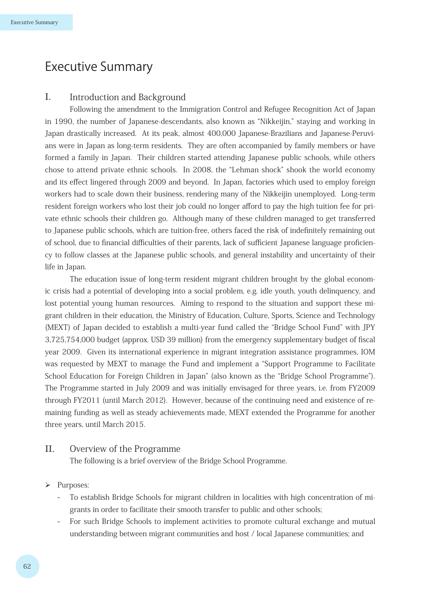# Executive Summary

# I. Introduction and Background

Following the amendment to the Immigration Control and Refugee Recognition Act of Japan in 1990, the number of Japanese-descendants, also known as "Nikkeijin," staying and working in Japan drastically increased. At its peak, almost 400,000 Japanese-Brazilians and Japanese-Peruvians were in Japan as long-term residents. They are often accompanied by family members or have formed a family in Japan. Their children started attending Japanese public schools, while others chose to attend private ethnic schools. In 2008, the "Lehman shock" shook the world economy and its effect lingered through 2009 and beyond. In Japan, factories which used to employ foreign workers had to scale down their business, rendering many of the Nikkeijin unemployed. Long-term resident foreign workers who lost their job could no longer afford to pay the high tuition fee for private ethnic schools their children go. Although many of these children managed to get transferred to Japanese public schools, which are tuition-free, others faced the risk of indefinitely remaining out of school, due to financial difficulties of their parents, lack of sufficient Japanese language proficiency to follow classes at the Japanese public schools, and general instability and uncertainty of their life in Japan.

The education issue of long-term resident migrant children brought by the global economic crisis had a potential of developing into a social problem, e.g. idle youth, youth delinquency, and lost potential young human resources. Aiming to respond to the situation and support these migrant children in their education, the Ministry of Education, Culture, Sports, Science and Technology (MEXT) of Japan decided to establish a multi-year fund called the "Bridge School Fund" with JPY 3,725,754,000 budget (approx. USD 39 million) from the emergency supplementary budget of fiscal year 2009. Given its international experience in migrant integration assistance programmes, IOM was requested by MEXT to manage the Fund and implement a "Support Programme to Facilitate School Education for Foreign Children in Japan" (also known as the "Bridge School Programme"). The Programme started in July 2009 and was initially envisaged for three years, i.e. from FY2009 through FY2011 (until March 2012). However, because of the continuing need and existence of remaining funding as well as steady achievements made, MEXT extended the Programme for another three years, until March 2015.

# II. Overview of the Programme

The following is a brief overview of the Bridge School Programme.

## > Purposes:

- To establish Bridge Schools for migrant children in localities with high concentration of migrants in order to facilitate their smooth transfer to public and other schools;
- For such Bridge Schools to implement activities to promote cultural exchange and mutual understanding between migrant communities and host / local Japanese communities; and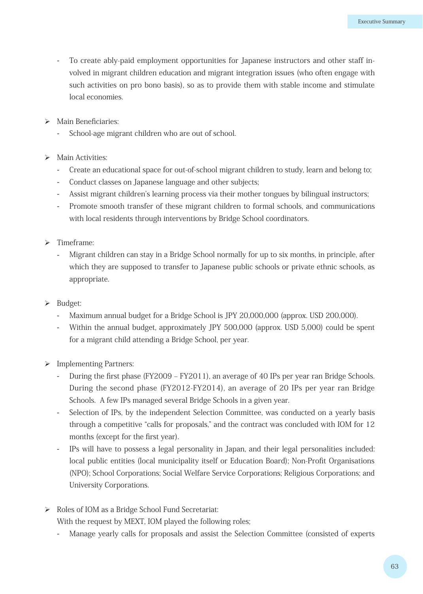- To create ably-paid employment opportunities for Japanese instructors and other staff involved in migrant children education and migrant integration issues (who often engage with such activities on pro bono basis), so as to provide them with stable income and stimulate local economies.
- > Main Beneficiaries:
	- School-age migrant children who are out of school.
- $\triangleright$  Main Activities:
	- Create an educational space for out-of-school migrant children to study, learn and belong to;
	- Conduct classes on Japanese language and other subjects;
	- Assist migrant children's learning process via their mother tongues by bilingual instructors;
	- Promote smooth transfer of these migrant children to formal schools, and communications with local residents through interventions by Bridge School coordinators.
- $\triangleright$  Timeframe:
	- Migrant children can stay in a Bridge School normally for up to six months, in principle, after which they are supposed to transfer to Japanese public schools or private ethnic schools, as appropriate.
- $\triangleright$  Budget:
	- Maximum annual budget for a Bridge School is JPY 20,000,000 (approx. USD 200,000).
	- Within the annual budget, approximately JPY 500,000 (approx. USD 5,000) could be spent for a migrant child attending a Bridge School, per year.
- > Implementing Partners:
	- During the first phase (FY2009 FY2011), an average of 40 IPs per year ran Bridge Schools. During the second phase (FY2012-FY2014), an average of 20 IPs per year ran Bridge Schools. A few IPs managed several Bridge Schools in a given year.
	- Selection of IPs, by the independent Selection Committee, was conducted on a yearly basis through a competitive "calls for proposals," and the contract was concluded with IOM for 12 months (except for the first year).
	- IPs will have to possess a legal personality in Japan, and their legal personalities included: local public entities (local municipality itself or Education Board); Non-Profit Organisations (NPO); School Corporations; Social Welfare Service Corporations; Religious Corporations; and University Corporations.
- ▶ Roles of IOM as a Bridge School Fund Secretariat:

With the request by MEXT, IOM played the following roles;

Manage yearly calls for proposals and assist the Selection Committee (consisted of experts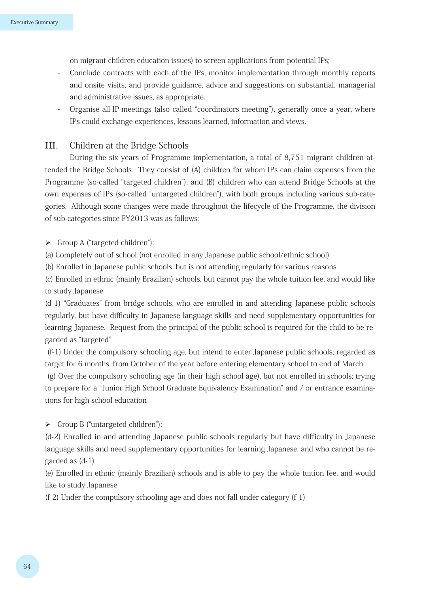on migrant children education issues) to screen applications from potential IPs;

- Conclude contracts with each of the IPs, monitor implementation through monthly reports and onsite visits, and provide guidance, advice and suggestions on substantial, managerial and administrative issues, as appropriate.
- Organise all-IP-meetings (also called "coordinators meeting"), generally once a year, where IPs could exchange experiences, lessons learned, information and views.

# III. Children at the Bridge Schools

During the six years of Programme implementation, a total of 8,751 migrant children attended the Bridge Schools. They consist of (A) children for whom IPs can claim expenses from the Programme (so-called "targeted children"), and (B) children who can attend Bridge Schools at the own expenses of IPs (so-called "untargeted children"), with both groups including various sub-categories. Although some changes were made throughout the lifecycle of the Programme, the division of sub-categories since FY2013 was as follows:

 $\triangleright$  Group A ("targeted children"):

(a) Completely out of school (not enrolled in any Japanese public school/ethnic school)

(b) Enrolled in Japanese public schools, but is not attending regularly for various reasons

(c) Enrolled in ethnic (mainly Brazilian) schools, but cannot pay the whole tuition fee, and would like to study Japanese

(d-1) "Graduates" from bridge schools, who are enrolled in and attending Japanese public schools regularly, but have difficulty in Japanese language skills and need supplementary opportunities for learning Japanese. Request from the principal of the public school is required for the child to be regarded as "targeted"

 (f-1) Under the compulsory schooling age, but intend to enter Japanese public schools; regarded as target for 6 months, from October of the year before entering elementary school to end of March.

 (g) Over the compulsory schooling age (in their high school age), but not enrolled in schools; trying to prepare for a "Junior High School Graduate Equivalency Examination" and / or entrance examinations for high school education

 Group B ("untargeted children"):

(d-2) Enrolled in and attending Japanese public schools regularly but have difficulty in Japanese language skills and need supplementary opportunities for learning Japanese, and who cannot be regarded as (d-1)

(e) Enrolled in ethnic (mainly Brazilian) schools and is able to pay the whole tuition fee, and would like to study Japanese

(f-2) Under the compulsory schooling age and does not fall under category (f-1)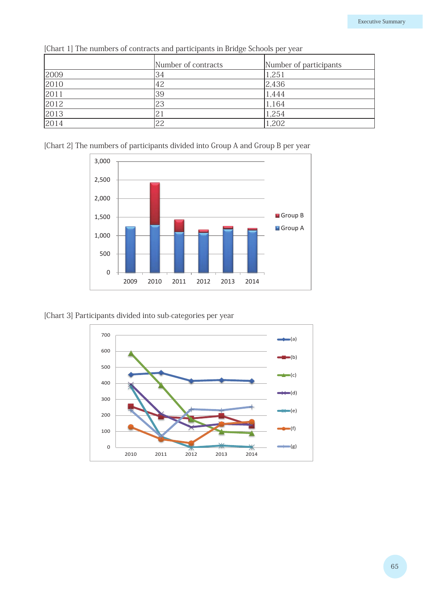|      | Number of contracts | Number of participants |
|------|---------------------|------------------------|
| 2009 | 34                  | 1,251                  |
| 2010 | 42                  | 2,436                  |
| 2011 | 39                  | 1,444                  |
| 2012 | 23                  | 1,164                  |
| 2013 | 21                  | 1,254                  |
| 2014 | 22                  | 1,202                  |

[Chart 1] The numbers of contracts and participants in Bridge Schools per year





[Chart 3] Participants divided into sub-categories per year

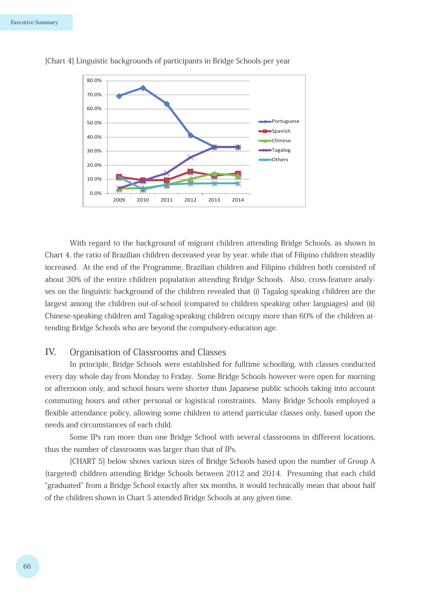

[Chart 4] Linguistic backgrounds of participants in Bridge Schools per year

With regard to the background of migrant children attending Bridge Schools, as shown in Chart 4, the ratio of Brazilian children decreased year by year, while that of Filipino children steadily increased. At the end of the Programme, Brazilian children and Filipino children both consisted of about 30% of the entire children population attending Bridge Schools. Also, cross-feature analyses on the linguistic background of the children revealed that (i) Tagalog-speaking children are the largest among the children out-of-school (compared to children speaking other languages) and (ii) Chinese-speaking children and Tagalog-speaking children occupy more than 60% of the children attending Bridge Schools who are beyond the compulsory-education age.

## IV. Organisation of Classrooms and Classes

In principle, Bridge Schools were established for fulltime schooling, with classes conducted every day whole day from Monday to Friday. Some Bridge Schools however were open for morning or afternoon only, and school hours were shorter than Japanese public schools taking into account commuting hours and other personal or logistical constraints. Many Bridge Schools employed a flexible attendance policy, allowing some children to attend particular classes only, based upon the needs and circumstances of each child.

Some IPs ran more than one Bridge School with several classrooms in different locations, thus the number of classrooms was larger than that of IPs.

[CHART 5] below shows various sizes of Bridge Schools based upon the number of Group A (targeted) children attending Bridge Schools between 2012 and 2014. Presuming that each child "graduated" from a Bridge School exactly after six months, it would technically mean that about half of the children shown in Chart 5 attended Bridge Schools at any given time.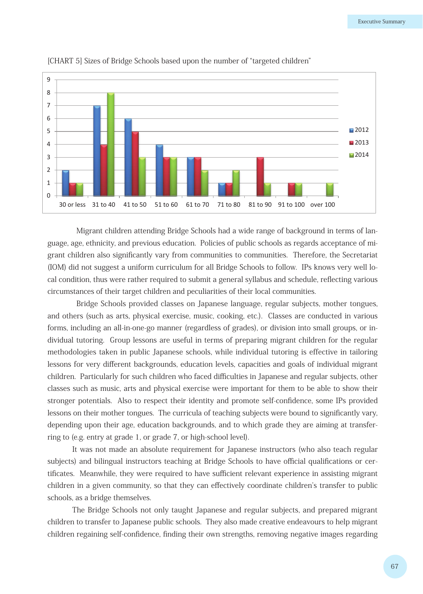

[CHART 5] Sizes of Bridge Schools based upon the number of "targeted children"

Migrant children attending Bridge Schools had a wide range of background in terms of language, age, ethnicity, and previous education. Policies of public schools as regards acceptance of migrant children also significantly vary from communities to communities. Therefore, the Secretariat (IOM) did not suggest a uniform curriculum for all Bridge Schools to follow. IPs knows very well local condition, thus were rather required to submit a general syllabus and schedule, reflecting various circumstances of their target children and peculiarities of their local communities.

Bridge Schools provided classes on Japanese language, regular subjects, mother tongues, and others (such as arts, physical exercise, music, cooking, etc.). Classes are conducted in various forms, including an all-in-one-go manner (regardless of grades), or division into small groups, or individual tutoring. Group lessons are useful in terms of preparing migrant children for the regular methodologies taken in public Japanese schools, while individual tutoring is effective in tailoring lessons for very different backgrounds, education levels, capacities and goals of individual migrant children. Particularly for such children who faced difficulties in Japanese and regular subjects, other classes such as music, arts and physical exercise were important for them to be able to show their stronger potentials. Also to respect their identity and promote self-confidence, some IPs provided lessons on their mother tongues. The curricula of teaching subjects were bound to significantly vary, depending upon their age, education backgrounds, and to which grade they are aiming at transferring to (e.g. entry at grade 1, or grade 7, or high-school level).

It was not made an absolute requirement for Japanese instructors (who also teach regular subjects) and bilingual instructors teaching at Bridge Schools to have official qualifications or certificates. Meanwhile, they were required to have sufficient relevant experience in assisting migrant children in a given community, so that they can effectively coordinate children's transfer to public schools, as a bridge themselves.

The Bridge Schools not only taught Japanese and regular subjects, and prepared migrant children to transfer to Japanese public schools. They also made creative endeavours to help migrant children regaining self-confidence, finding their own strengths, removing negative images regarding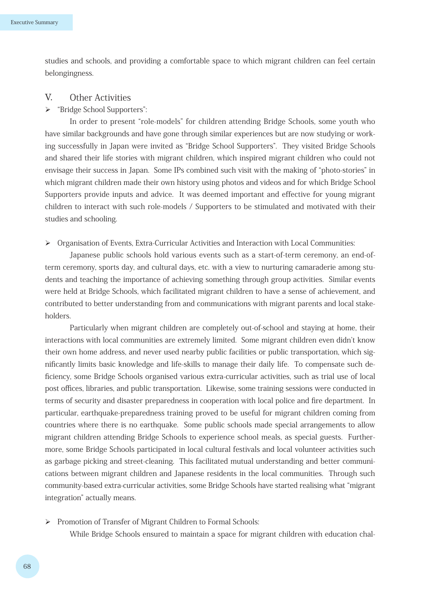studies and schools, and providing a comfortable space to which migrant children can feel certain belongingness.

## V. Other Activities

## "Bridge School Supporters":

In order to present "role-models" for children attending Bridge Schools, some youth who have similar backgrounds and have gone through similar experiences but are now studying or working successfully in Japan were invited as "Bridge School Supporters". They visited Bridge Schools and shared their life stories with migrant children, which inspired migrant children who could not envisage their success in Japan. Some IPs combined such visit with the making of "photo-stories" in which migrant children made their own history using photos and videos and for which Bridge School Supporters provide inputs and advice. It was deemed important and effective for young migrant children to interact with such role-models / Supporters to be stimulated and motivated with their studies and schooling.

#### $\triangleright$  Organisation of Events, Extra-Curricular Activities and Interaction with Local Communities:

Japanese public schools hold various events such as a start-of-term ceremony, an end-ofterm ceremony, sports day, and cultural days, etc. with a view to nurturing camaraderie among students and teaching the importance of achieving something through group activities. Similar events were held at Bridge Schools, which facilitated migrant children to have a sense of achievement, and contributed to better understanding from and communications with migrant parents and local stakeholders.

Particularly when migrant children are completely out-of-school and staying at home, their interactions with local communities are extremely limited. Some migrant children even didn't know their own home address, and never used nearby public facilities or public transportation, which significantly limits basic knowledge and life-skills to manage their daily life. To compensate such deficiency, some Bridge Schools organised various extra-curricular activities, such as trial use of local post offices, libraries, and public transportation. Likewise, some training sessions were conducted in terms of security and disaster preparedness in cooperation with local police and fire department. In particular, earthquake-preparedness training proved to be useful for migrant children coming from countries where there is no earthquake. Some public schools made special arrangements to allow migrant children attending Bridge Schools to experience school meals, as special guests. Furthermore, some Bridge Schools participated in local cultural festivals and local volunteer activities such as garbage picking and street-cleaning. This facilitated mutual understanding and better communications between migrant children and Japanese residents in the local communities. Through such community-based extra-curricular activities, some Bridge Schools have started realising what "migrant integration" actually means.

### Promotion of Transfer of Migrant Children to Formal Schools:

While Bridge Schools ensured to maintain a space for migrant children with education chal-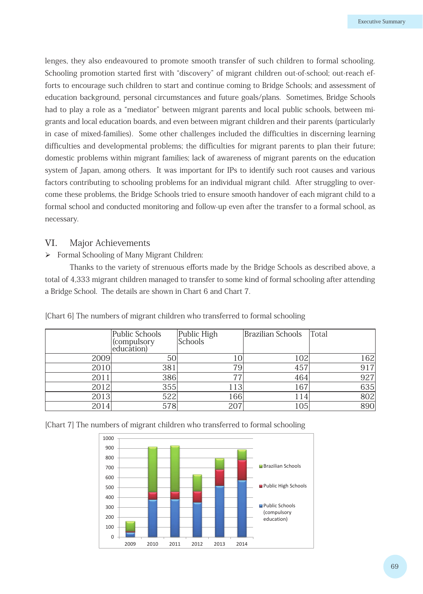lenges, they also endeavoured to promote smooth transfer of such children to formal schooling. Schooling promotion started first with "discovery" of migrant children out-of-school; out-reach efforts to encourage such children to start and continue coming to Bridge Schools; and assessment of education background, personal circumstances and future goals/plans. Sometimes, Bridge Schools had to play a role as a "mediator" between migrant parents and local public schools, between migrants and local education boards, and even between migrant children and their parents (particularly in case of mixed-families). Some other challenges included the difficulties in discerning learning difficulties and developmental problems; the difficulties for migrant parents to plan their future; domestic problems within migrant families; lack of awareness of migrant parents on the education system of Japan, among others. It was important for IPs to identify such root causes and various factors contributing to schooling problems for an individual migrant child. After struggling to overcome these problems, the Bridge Schools tried to ensure smooth handover of each migrant child to a formal school and conducted monitoring and follow-up even after the transfer to a formal school, as necessary.

## VI. Major Achievements

 Formal Schooling of Many Migrant Children:

Thanks to the variety of strenuous efforts made by the Bridge Schools as described above, a total of 4,333 migrant children managed to transfer to some kind of formal schooling after attending a Bridge School. The details are shown in Chart 6 and Chart 7.

|      | Public Schools<br>compulsory) <br>education) | Public High<br>Schools | <b>Brazilian Schools</b> | Total |
|------|----------------------------------------------|------------------------|--------------------------|-------|
| 2009 | 50                                           |                        | 102                      | 162   |
| 2010 | 381                                          | 79 <sub>1</sub>        | 457                      | 917   |
| 2011 | 386                                          | 77                     | 464                      | 927   |
| 2012 | 355                                          | 113                    | 167                      | 635   |
| 2013 | 522                                          | 166                    | 114                      | 802   |
| 2014 | 578                                          | 207                    | 105                      | 890   |

[Chart 6] The numbers of migrant children who transferred to formal schooling

[Chart 7] The numbers of migrant children who transferred to formal schooling

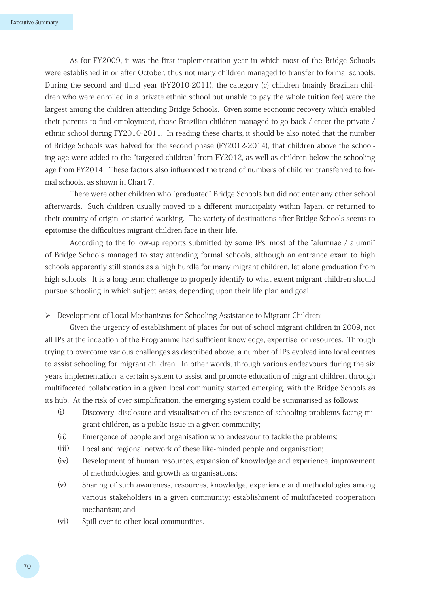As for FY2009, it was the first implementation year in which most of the Bridge Schools were established in or after October, thus not many children managed to transfer to formal schools. During the second and third year (FY2010-2011), the category (c) children (mainly Brazilian children who were enrolled in a private ethnic school but unable to pay the whole tuition fee) were the largest among the children attending Bridge Schools. Given some economic recovery which enabled their parents to find employment, those Brazilian children managed to go back / enter the private / ethnic school during FY2010-2011. In reading these charts, it should be also noted that the number of Bridge Schools was halved for the second phase (FY2012-2014), that children above the schooling age were added to the "targeted children" from FY2012, as well as children below the schooling age from FY2014. These factors also influenced the trend of numbers of children transferred to formal schools, as shown in Chart 7.

There were other children who "graduated" Bridge Schools but did not enter any other school afterwards. Such children usually moved to a different municipality within Japan, or returned to their country of origin, or started working. The variety of destinations after Bridge Schools seems to epitomise the difficulties migrant children face in their life.

According to the follow-up reports submitted by some IPs, most of the "alumnae / alumni" of Bridge Schools managed to stay attending formal schools, although an entrance exam to high schools apparently still stands as a high hurdle for many migrant children, let alone graduation from high schools. It is a long-term challenge to properly identify to what extent migrant children should pursue schooling in which subject areas, depending upon their life plan and goal.

 Development of Local Mechanisms for Schooling Assistance to Migrant Children:

Given the urgency of establishment of places for out-of-school migrant children in 2009, not all IPs at the inception of the Programme had sufficient knowledge, expertise, or resources. Through trying to overcome various challenges as described above, a number of IPs evolved into local centres to assist schooling for migrant children. In other words, through various endeavours during the six years implementation, a certain system to assist and promote education of migrant children through multifaceted collaboration in a given local community started emerging, with the Bridge Schools as its hub. At the risk of over-simplification, the emerging system could be summarised as follows:

- (i) Discovery, disclosure and visualisation of the existence of schooling problems facing migrant children, as a public issue in a given community;
- (ii) Emergence of people and organisation who endeavour to tackle the problems;
- (iii) Local and regional network of these like-minded people and organisation;
- (iv) Development of human resources, expansion of knowledge and experience, improvement of methodologies, and growth as organisations;
- (v) Sharing of such awareness, resources, knowledge, experience and methodologies among various stakeholders in a given community; establishment of multifaceted cooperation mechanism; and
- (vi) Spill-over to other local communities.